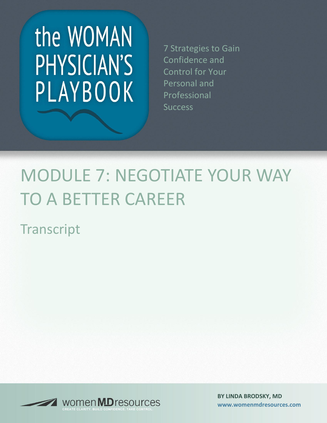# the WOMAN PHYSICIAN'S PLAYBOOK

7 Strategies to Gain Confidence and Control for Your Personal and Professional **Success** 

## MODULE 7: NEGOTIATE YOUR WAY TO A BETTER CAREER

**Transcript** 



**BY LINDA BRODSKY, MD [www.womenmdresources.com](http://www.womenmdresources.com/)**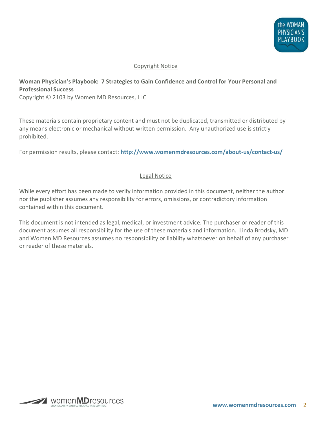

#### Copyright Notice

### **Woman Physician's Playbook: 7 Strategies to Gain Confidence and Control for Your Personal and Professional Success**

Copyright © 2103 by Women MD Resources, LLC

These materials contain proprietary content and must not be duplicated, transmitted or distributed by any means electronic or mechanical without written permission. Any unauthorized use is strictly prohibited.

For permission results, please contact: **<http://www.womenmdresources.com/about-us/contact-us/>**

#### Legal Notice

While every effort has been made to verify information provided in this document, neither the author nor the publisher assumes any responsibility for errors, omissions, or contradictory information contained within this document.

This document is not intended as legal, medical, or investment advice. The purchaser or reader of this document assumes all responsibility for the use of these materials and information. Linda Brodsky, MD and Women MD Resources assumes no responsibility or liability whatsoever on behalf of any purchaser or reader of these materials.

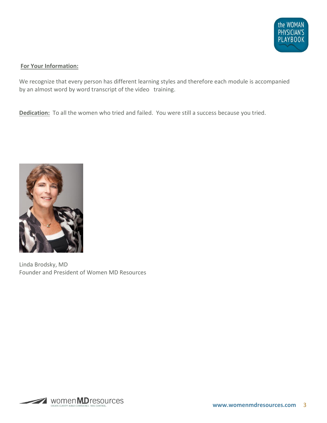

#### **For Your Information:**

We recognize that every person has different learning styles and therefore each module is accompanied by an almost word by word transcript of the video training.

**Dedication:** To all the women who tried and failed. You were still a success because you tried.



Linda Brodsky, MD Founder and President of Women MD Resources

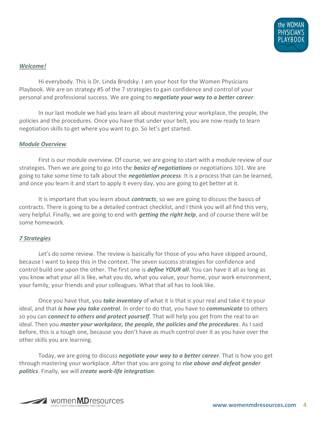

#### *Welcome!*

Hi everybody. This is Dr. Linda Brodsky. I am your host for the Women Physicians Playbook. We are on strategy #5 of the 7 strategies to gain confidence and control of your personal and professional success. We are going to *negotiate your way to a better career*.

In our last module we had you learn all about mastering your workplace, the people, the policies and the procedures. Once you have that under your belt, you are now ready to learn negotiation skills to get where you want to go. So let's get started.

#### *Module Overview*

First is our module overview. Of course, we are going to start with a module review of our strategies. Then we are going to go into the *basics of negotiations* or negotiations 101. We are going to take some time to talk about the *negotiation process*. It is a process that can be learned, and once you learn it and start to apply it every day, you are going to get better at it.

It is important that you learn about *contracts*, so we are going to discuss the basics of contracts. There is going to be a detailed contract checklist, and I think you will all find this very, very helpful. Finally, we are going to end with *getting the right help*, and of course there will be some homework.

#### *7 Strategies*

Let's do some review. The review is basically for those of you who have skipped around, because I want to keep this in the context. The seven success strategies for confidence and control build one upon the other. The first one is *define YOUR all*. You can have it all as long as you know what your all is like, what you do, what you value, your home, your work environment, your family, your friends and your colleagues. What that all has to look like.

Once you have that, you *take inventory* of what it is that is your real and take it to your ideal, and that *is how you take control*. In order to do that, you have to *communicate* to others so you can *connect to others and protect yourself*. That will help you get from the real to an ideal. Then you *master your workplace, the people, the policies and the procedures*. As I said before, this is a tough one, because you don't have as much control over it as you have over the other skills you are learning.

Today, we are going to discuss *negotiate your way to a better career*. That is how you get through mastering your workplace. After that you are going to *rise above and defeat gender politics*. Finally, we will *create work-life integration*.

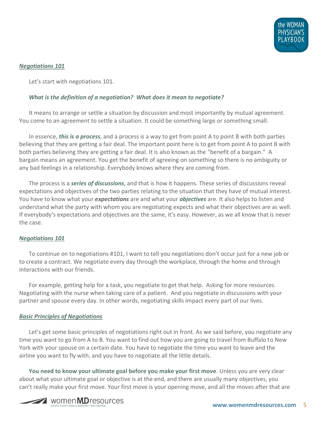

#### *Negotiations 101*

Let's start with negotiations 101.

#### *What is the definition of a negotiation? What does it mean to negotiate?*

It means to arrange or settle a situation by discussion and most importantly by mutual agreement. You come to an agreement to settle a situation. It could be something large or something small.

In essence, *this is a process*, and a process is a way to get from point A to point B with both parties believing that they are getting a fair deal. The important point here is to get from point A to point B with both parties believing they are getting a fair deal. It is also known as the "benefit of a bargain." A bargain means an agreement. You get the benefit of agreeing on something so there is no ambiguity or any bad feelings in a relationship. Everybody knows where they are coming from.

The process is a *series of discussions*, and that is how it happens. These series of discussions reveal expectations and objectives of the two parties relating to the situation that they have of mutual interest. You have to know what your *expectations* are and what your *objectives* are. It also helps to listen and understand what the party with whom you are negotiating expects and what their objectives are as well. If everybody's expectations and objectives are the same, it's easy. However, as we all know that is never the case.

#### *Negotiations 101*

To continue on to negotiations #101, I want to tell you negotiations don't occur just for a new job or to create a contract. We negotiate every day through the workplace, through the home and through interactions with our friends.

For example, getting help for a task, you negotiate to get that help. Asking for more resources. Negotiating with the nurse when taking care of a patient. And you negotiate in discussions with your partner and spouse every day. In other words, negotiating skills impact every part of our lives.

#### *Basic Principles of Negotiations*

Let's get some basic principles of negotiations right out in front. As we said before, you negotiate any time you want to go from A to B. You want to find out how you are going to travel from Buffalo to New York with your spouse on a certain date. You have to negotiate the time you want to leave and the airline you want to fly with, and you have to negotiate all the little details.

**You need to know your ultimate goal before you make your first move**. Unless you are very clear about what your ultimate goal or objective is at the end, and there are usually many objectives, you can't really make your first move. Your first move is your opening move, and all the moves after that are

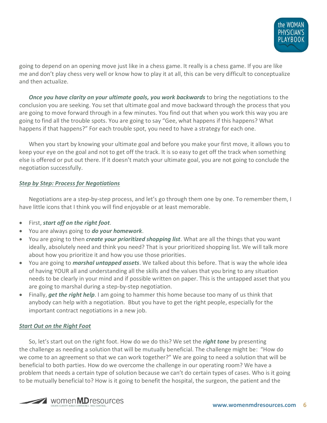

going to depend on an opening move just like in a chess game. It really is a chess game. If you are like me and don't play chess very well or know how to play it at all, this can be very difficult to conceptualize and then actualize.

*Once you have clarity on your ultimate goals, you work backwards* to bring the negotiations to the conclusion you are seeking. You set that ultimate goal and move backward through the process that you are going to move forward through in a few minutes. You find out that when you work this way you are going to find all the trouble spots. You are going to say "Gee, what happens if this happens? What happens if that happens?" For each trouble spot, you need to have a strategy for each one.

When you start by knowing your ultimate goal and before you make your first move, it allows you to keep your eye on the goal and not to get off the track. It is so easy to get off the track when something else is offered or put out there. If it doesn't match your ultimate goal, you are not going to conclude the negotiation successfully.

#### *Step by Step: Process for Negotiations*

Negotiations are a step-by-step process, and let's go through them one by one. To remember them, I have little icons that I think you will find enjoyable or at least memorable.

- First, *start off on the right foot*.
- You are always going to *do your homework*.
- You are going to then *create your prioritized shopping list*. What are all the things that you want ideally, absolutely need and think you need? That is your prioritized shopping list. We will talk more about how you prioritize it and how you use those priorities.
- You are going to *marshal untapped assets*. We talked about this before. That is way the whole idea of having YOUR all and understanding all the skills and the values that you bring to any situation needs to be clearly in your mind and if possible written on paper. This is the untapped asset that you are going to marshal during a step-by-step negotiation.
- Finally, *get the right help*. I am going to hammer this home because too many of us think that anybody can help with a negotiation. Bbut you have to get the right people, especially for the important contract negotiations in a new job.

#### *Start Out on the Right Foot*

So, let's start out on the right foot. How do we do this? We set the *right tone* by presenting the challenge as needing a solution that will be mutually beneficial. The challenge might be: "How do we come to an agreement so that we can work together?" We are going to need a solution that will be beneficial to both parties. How do we overcome the challenge in our operating room? We have a problem that needs a certain type of solution because we can't do certain types of cases. Who is it going to be mutually beneficial to? How is it going to benefit the hospital, the surgeon, the patient and the

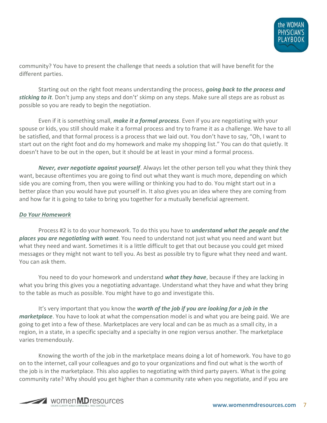

community? You have to present the challenge that needs a solution that will have benefit for the different parties.

Starting out on the right foot means understanding the process, *going back to the process and sticking to it*. Don't jump any steps and don't' skimp on any steps. Make sure all steps are as robust as possible so you are ready to begin the negotiation.

Even if it is something small, *make it a formal process*. Even if you are negotiating with your spouse or kids, you still should make it a formal process and try to frame it as a challenge. We have to all be satisfied, and that formal process is a process that we laid out. You don't have to say, "Oh, I want to start out on the right foot and do my homework and make my shopping list." You can do that quietly. It doesn't have to be out in the open, but it should be at least in your mind a formal process.

*Never, ever negotiate against yourself*. Always let the other person tell you what they think they want, because oftentimes you are going to find out what they want is much more, depending on which side you are coming from, then you were willing or thinking you had to do. You might start out in a better place than you would have put yourself in. It also gives you an idea where they are coming from and how far it is going to take to bring you together for a mutually beneficial agreement.

#### *Do Your Homework*

Process #2 is to do your homework. To do this you have to *understand what the people and the places you are negotiating with want*. You need to understand not just what you need and want but what they need and want. Sometimes it is a little difficult to get that out because you could get mixed messages or they might not want to tell you. As best as possible try to figure what they need and want. You can ask them.

You need to do your homework and understand *what they have*, because if they are lacking in what you bring this gives you a negotiating advantage. Understand what they have and what they bring to the table as much as possible. You might have to go and investigate this.

It's very important that you know the *worth of the job if you are looking for a job in the marketplace*. You have to look at what the compensation model is and what you are being paid. We are going to get into a few of these. Marketplaces are very local and can be as much as a small city, in a region, in a state, in a specific specialty and a specialty in one region versus another. The marketplace varies tremendously.

Knowing the worth of the job in the marketplace means doing a lot of homework. You have to go on to the internet, call your colleagues and go to your organizations and find out what is the worth of the job is in the marketplace. This also applies to negotiating with third party payers. What is the going community rate? Why should you get higher than a community rate when you negotiate, and if you are

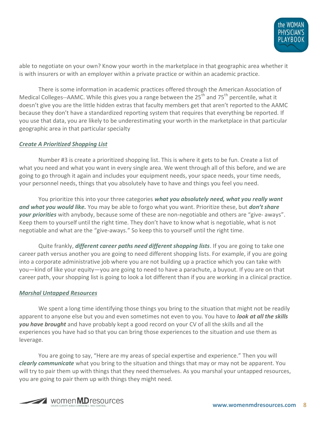

able to negotiate on your own? Know your worth in the marketplace in that geographic area whether it is with insurers or with an employer within a private practice or within an academic practice.

There is some information in academic practices offered through the American Association of Medical Colleges--AAMC. While this gives you a range between the  $25<sup>th</sup>$  and  $75<sup>th</sup>$  percentile, what it doesn't give you are the little hidden extras that faculty members get that aren't reported to the AAMC because they don't have a standardized reporting system that requires that everything be reported. If you use that data, you are likely to be underestimating your worth in the marketplace in that particular geographic area in that particular specialty

#### *Create A Prioritized Shopping List*

Number #3 is create a prioritized shopping list. This is where it gets to be fun. Create a list of what you need and what you want in every single area. We went through all of this before, and we are going to go through it again and includes your equipment needs, your space needs, your time needs, your personnel needs, things that you absolutely have to have and things you feel you need.

You prioritize this into your three categories *what you absolutely need, what you really want and what you would like.* You may be able to forgo what you want. Prioritize these, but *don't share your priorities* with anybody, because some of these are non-negotiable and others are "give- aways". Keep them to yourself until the right time. They don't have to know what is negotiable, what is not negotiable and what are the "give-aways." So keep this to yourself until the right time.

Quite frankly, *different career paths need different shopping lists*. If you are going to take one career path versus another you are going to need different shopping lists. For example, if you are going into a corporate administrative job where you are not building up a practice which you can take with you—kind of like your equity—you are going to need to have a parachute, a buyout. If you are on that career path, your shopping list is going to look a lot different than if you are working in a clinical practice.

#### *Marshal Untapped Resources*

We spent a long time identifying those things you bring to the situation that might not be readily apparent to anyone else but you and even sometimes not even to you. You have to *look at all the skills you have brought* and have probably kept a good record on your CV of all the skills and all the experiences you have had so that you can bring those experiences to the situation and use them as leverage.

You are going to say, "Here are my areas of special expertise and experience." Then you will *clearly communicate* what you bring to the situation and things that may or may not be apparent. You will try to pair them up with things that they need themselves. As you marshal your untapped resources, you are going to pair them up with things they might need.

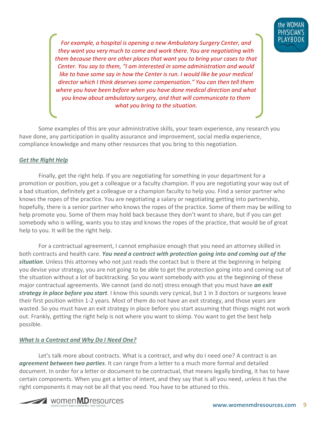

*For example, a hospital is opening a new Ambulatory Surgery Center, and they want you very much to come and work there. You are negotiating with them because there are other places that want you to bring your cases to that Center. You say to them, "I am interested in some administration and would like to have some say in how the Center is run. I would like be your medical director which I think deserves some compensation." You can then tell them where you have been before when you have done medical direction and what you know about ambulatory surgery, and that will communicate to them what you bring to the situation.*

Some examples of this are your administrative skills, your team experience, any research you have done, any participation in quality assurance and improvement, social media experience, compliance knowledge and many other resources that you bring to this negotiation.

#### *Get the Right Help*

Finally, get the right help. If you are negotiating for something in your department for a promotion or position, you get a colleague or a faculty champion. If you are negotiating your way out of a bad situation, definitely get a colleague or a champion faculty to help you. Find a senior partner who knows the ropes of the practice. You are negotiating a salary or negotiating getting into partnership, hopefully, there is a senior partner who knows the ropes of the practice. Some of them may be willing to help promote you. Some of them may hold back because they don't want to share, but if you can get somebody who is willing, wants you to stay and knows the ropes of the practice, that would be of great help to you. It will be the right help.

For a contractual agreement, I cannot emphasize enough that you need an attorney skilled in both contracts and health care. *You need a contract with protection going into and coming out of the situation*. Unless this attorney who not just reads the contact but is there at the beginning in helping you devise your strategy, you are not going to be able to get the protection going into and coming out of the situation without a lot of backtracking. So you want somebody with you at the beginning of these major contractual agreements. We cannot (and do not) stress enough that you must have *an exit strategy in place before you start*. I know this sounds very cynical, but 1 in 3 doctors or surgeons leave their first position within 1-2 years. Most of them do not have an exit strategy, and those years are wasted. So you must have an exit strategy in place before you start assuming that things might not work out. Frankly, getting the right help is not where you want to skimp. You want to get the best help possible.

#### *What Is a Contract and Why Do I Need One?*

Let's talk more about contracts. What is a contract, and why do I need one? A contract is an *agreement between two parties*. It can range from a letter to a much more formal and detailed document. In order for a letter or document to be contractual, that means legally binding, it has to have certain components. When you get a letter of intent, and they say that is all you need, unless it has the right components it may not be all that you need. You have to be attuned to this.

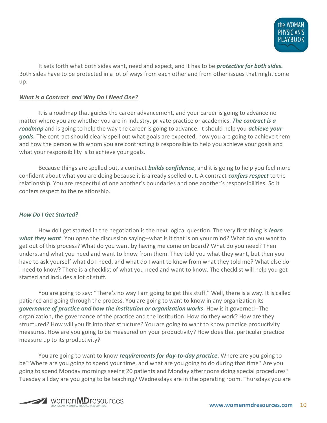

It sets forth what both sides want, need and expect, and it has to be *protective for both sides.* Both sides have to be protected in a lot of ways from each other and from other issues that might come up.

#### *What is a Contract and Why Do I Need One?*

It is a roadmap that guides the career advancement, and your career is going to advance no matter where you are whether you are in industry, private practice or academics. *The contract is a roadmap* and is going to help the way the career is going to advance. It should help you *achieve your goals.* The contract should clearly spell out what goals are expected, how you are going to achieve them and how the person with whom you are contracting is responsible to help you achieve your goals and what your responsibility is to achieve your goals.

Because things are spelled out, a contract *builds confidence*, and it is going to help you feel more confident about what you are doing because it is already spelled out. A contract *confers respect* to the relationship. You are respectful of one another's boundaries and one another's responsibilities. So it confers respect to the relationship.

#### *How Do I Get Started?*

How do I get started in the negotiation is the next logical question. The very first thing is *learn what they want*. You open the discussion saying--what is it that is on your mind? What do you want to get out of this process? What do you want by having me come on board? What do you need? Then understand what you need and want to know from them. They told you what they want, but then you have to ask yourself what do I need, and what do I want to know from what they told me? What else do I need to know? There is a checklist of what you need and want to know. The checklist will help you get started and includes a lot of stuff.

You are going to say: "There's no way I am going to get this stuff." Well, there is a way. It is called patience and going through the process. You are going to want to know in any organization its *governance of practice and how the institution or organization works*. How is it governed--The organization, the governance of the practice and the institution. How do they work? How are they structured? How will you fit into that structure? You are going to want to know practice productivity measures. How are you going to be measured on your productivity? How does that particular practice measure up to its productivity?

You are going to want to know *requirements for day-to-day practice*. Where are you going to be? Where are you going to spend your time, and what are you going to do during that time? Are you going to spend Monday mornings seeing 20 patients and Monday afternoons doing special procedures? Tuesday all day are you going to be teaching? Wednesdays are in the operating room. Thursdays you are

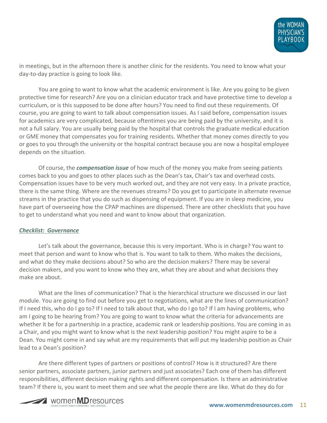

in meetings, but in the afternoon there is another clinic for the residents. You need to know what your day-to-day practice is going to look like.

You are going to want to know what the academic environment is like. Are you going to be given protective time for research? Are you on a clinician educator track and have protective time to develop a curriculum, or is this supposed to be done after hours? You need to find out these requirements. Of course, you are going to want to talk about compensation issues. As I said before, compensation issues for academics are very complicated, because oftentimes you are being paid by the university, and it is not a full salary. You are usually being paid by the hospital that controls the graduate medical education or GME money that compensates you for training residents. Whether that money comes directly to you or goes to you through the university or the hospital contract because you are now a hospital employee depends on the situation.

Of course, the *compensation issue* of how much of the money you make from seeing patients comes back to you and goes to other places such as the Dean's tax, Chair's tax and overhead costs. Compensation issues have to be very much worked out, and they are not very easy. In a private practice, there is the same thing. Where are the revenues streams? Do you get to participate in alternate revenue streams in the practice that you do such as dispensing of equipment. If you are in sleep medicine, you have part of overseeing how the CPAP machines are dispensed. There are other checklists that you have to get to understand what you need and want to know about that organization.

#### *Checklist: Governance*

Let's talk about the governance, because this is very important. Who is in charge? You want to meet that person and want to know who that is. You want to talk to them. Who makes the decisions, and what do they make decisions about? So who are the decision makers? There may be several decision makers, and you want to know who they are, what they are about and what decisions they make are about.

What are the lines of communication? That is the hierarchical structure we discussed in our last module. You are going to find out before you get to negotiations, what are the lines of communication? If I need this, who do I go to? If I need to talk about that, who do I go to? If I am having problems, who am I going to be hearing from? You are going to want to know what the criteria for advancements are whether it be for a partnership in a practice, academic rank or leadership positions. You are coming in as a Chair, and you might want to know what is the next leadership position? You might aspire to be a Dean. You might come in and say what are my requirements that will put my leadership position as Chair lead to a Dean's position?

Are there different types of partners or positions of control? How is it structured? Are there senior partners, associate partners, junior partners and just associates? Each one of them has different responsibilities, different decision making rights and different compensation. Is there an administrative team? If there is, you want to meet them and see what the people there are like. What do they do for

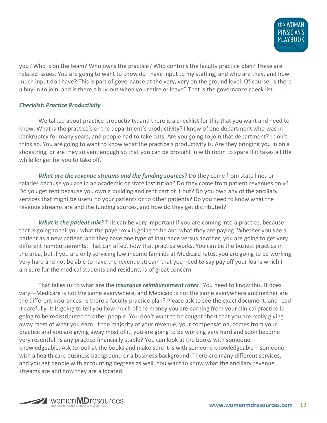

you? Who is on the team? Who owns the practice? Who controls the faculty practice plan? These are related issues. You are going to want to know do I have input to my staffing, and who are they, and how much input do I have? This is part of governance at the very, very on the ground level. Of course, is there a buy-in to join, and is there a buy-out when you retire or leave? That is the governance check list.

#### *Checklist: Practice Productivity*

We talked about practice productivity, and there is a checklist for this that you want and need to know. What is the practice's or the department's productivity? I know of one department who was in bankruptcy for many years, and people had to take cuts. Are you going to join that department? I don't think so. You are going to want to know what the practice's productivity is. Are they bringing you in on a shoestring, or are they solvent enough so that you can be brought in with room to spare if it takes a little while longer for you to take off.

*What are the revenue streams and the funding sources*? Do they come from state lines or salaries because you are in an academic or state institution? Do they come from patient revenues only? Do you get rent because you own a building and rent part of it out? Do you own any of the ancillary services that might be useful to your patients or to other patients? Do you need to know what the revenue streams are and the funding sources, and how do they get distributed?

*What is the patient mix?* This can be very important if you are coming into a practice, because that is going to tell you what the payer mix is going to be and what they are paying. Whether you see a patient as a new patient, and they have one type of insurance versus another, you are going to get very different reimbursements. That can affect how that practice works. You can be the busiest practice in the area, but if you are only servicing low income families at Medicaid rates, you are going to be working very hard and not be able to have the revenue stream that you need to say pay off your loans which I am sure for the medical students and residents is of great concern.

That takes us to what are the *insurance reimbursement rates*? You need to know this. It does vary—Medicare is not the same everywhere, and Medicaid is not the same everywhere and neither are the different insurances. Is there a faculty practice plan? Please ask to see the exact document, and read it carefully. It is going to tell you how much of the money you are earning from your clinical practice is going to be redistributed to other people. You don't want to be caught short that you are really giving away most of what you earn. If the majority of your revenue, your compensation, comes from your practice and you are giving away most of it, you are going to be working very hard and soon become very resentful. Is any practice financially stable? You can look at the books with someone knowledgeable. Ask to look at the books and make sure it is with someone knowledgeable—someone with a health care business background or a business background. There are many different services, and you get people with accounting degrees as well. You want to know what the ancillary revenue streams are and how they are allocated.

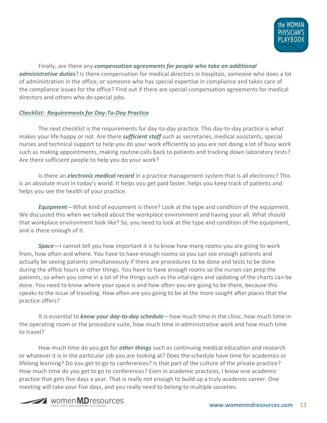

Finally, are there any *compensation agreements for people who take on additional administrative duties*? Is there compensation for medical directors in hospitals, someone who does a lot of administration in the office, or someone who has special expertise in compliance and takes care of the compliance issues for the office? Find out if there are special compensation agreements for medical directors and others who do special jobs.

#### *Checklist: Requirements for Day-To-Day Practice*

The next checklist is the requirements for day-to-day practice. This day-to-day practice is what makes your life happy or not. Are there *sufficient staff* such as secretaries, medical assistants, special nurses and technical support to help you do your work efficiently so you are not doing a lot of busy work such as making appointments, making routine calls back to patients and tracking down laboratory tests?. Are there sufficient people to help you do your work?

Is there an *electronic medical record* in a practice management system that is all electronic? This is an absolute must in today's world. It helps you get paid faster, helps you keep track of patients and helps you see the health of your practice.

*Equipment*—What kind of equipment is there? Look at the type and condition of the equipment. We discussed this when we talked about the workplace environment and having your all. What should that workplace environment look like? So, you need to look at the type and condition of the equipment, and is there enough of it.

*Space*—I cannot tell you how important it is to know how many rooms you are going to work from, how often and where. You have to have enough rooms so you can see enough patients and actually be seeing patients simultaneously if there are procedures to be done and tests to be done during the office hours or other things. You have to have enough rooms so the nurses can prep the patients, so when you come in a lot of the things such as the vital signs and updating of the charts can be done. You need to know where your space is and how often you are going to be there, because this speaks to the issue of traveling. How often are you going to be at the more sought after places that the practice offers?

It is essential to *know your day-to-day schedule*—how much time in the clinic, how much time in the operating room or the procedure suite, how much time in administrative work and how much time to travel?

How much time do you get for *other things* such as continuing medical education and research or whatever it is in the particular job you are looking at? Does the schedule have time for academics or lifelong learning? Do you get to go to conferences? Is that part of the culture of the private practice? How much time do you get to go to conferences? Even in academic practices, I know one academic practice that gets five days a year. That is really not enough to build up a truly academic career. One meeting will take your five days, and you really need to belong to multiple societies.

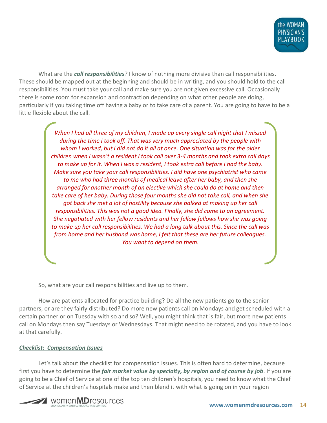

What are the *call responsibilities*? I know of nothing more divisive than call responsibilities. These should be mapped out at the beginning and should be in writing, and you should hold to the call responsibilities. You must take your call and make sure you are not given excessive call. Occasionally there is some room for expansion and contraction depending on what other people are doing, particularly if you taking time off having a baby or to take care of a parent. You are going to have to be a little flexible about the call.

> *When I had all three of my children, I made up every single call night that I missed during the time I took off. That was very much appreciated by the people with whom I worked, but I did not do it all at once. One situation was for the older children when I wasn't a resident I took call over 3-4 months and took extra call days to make up for it. When I was a resident, I took extra call before I had the baby. Make sure you take your call responsibilities. I did have one psychiatrist who came to me who had three months of medical leave after her baby, and then she arranged for another month of an elective which she could do at home and then take care of her baby. During those four months she did not take call, and when she got back she met a lot of hostility because she balked at making up her call responsibilities. This was not a good idea. Finally, she did come to an agreement. She negotiated with her fellow residents and her fellow fellows how she was going to make up her call responsibilities. We had a long talk about this. Since the call was from home and her husband was home, I felt that these are her future colleagues. You want to depend on them.*

So, what are your call responsibilities and live up to them.

How are patients allocated for practice building? Do all the new patients go to the senior partners, or are they fairly distributed? Do more new patients call on Mondays and get scheduled with a certain partner or on Tuesday with so and so? Well, you might think that is fair, but more new patients call on Mondays then say Tuesdays or Wednesdays. That might need to be rotated, and you have to look at that carefully.

#### *Checklist: Compensation Issues*

Let's talk about the checklist for compensation issues. This is often hard to determine, because first you have to determine the *fair market value by specialty, by region and of course by job*. If you are going to be a Chief of Service at one of the top ten children's hospitals, you need to know what the Chief of Service at the children's hospitals make and then blend it with what is going on in your region

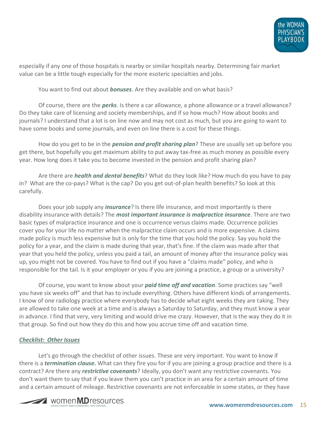

especially if any one of those hospitals is nearby or similar hospitals nearby. Determining fair market value can be a little tough especially for the more esoteric specialties and jobs.

You want to find out about *bonuses*. Are they available and on what basis?

Of course, there are the *perks*. Is there a car allowance, a phone allowance or a travel allowance? Do they take care of licensing and society memberships, and if so how much? How about books and journals? I understand that a lot is on line now and may not cost as much, but you are going to want to have some books and some journals, and even on line there is a cost for these things.

How do you get to be in the *pension and profit sharing plan*? These are usually set up before you get there, but hopefully you get maximum ability to put away tax-free as much money as possible every year. How long does it take you to become invested in the pension and profit sharing plan?

Are there are *health and dental benefits*? What do they look like? How much do you have to pay in? What are the co-pays? What is the cap? Do you get out-of-plan health benefits? So look at this carefully.

Does your job supply any *insurance*? Is there life insurance, and most importantly is there disability insurance with details? The *most important insurance is malpractice insurance*. There are two basic types of malpractice insurance and one is occurrence versus claims made. Occurrence policies cover you for your life no matter when the malpractice claim occurs and is more expensive. A claims made policy is much less expensive but is only for the time that you hold the policy. Say you hold the policy for a year, and the claim is made during that year, that's fine. If the claim was made after that year that you held the policy, unless you paid a tail, an amount of money after the insurance policy was up, you might not be covered. You have to find out if you have a "claims made" policy, and who is responsible for the tail. Is it your employer or you if you are joining a practice, a group or a university?

Of course, you want to know about your *paid time off and vacation*. Some practices say "well you have six weeks off" and that has to include everything. Others have different kinds of arrangements. I know of one radiology practice where everybody has to decide what eight weeks they are taking. They are allowed to take one week at a time and is always a Saturday to Saturday, and they must know a year in advance. I find that very, very limiting and would drive me crazy. However, that is the way they do it in that group. So find out how they do this and how you accrue time off and vacation time.

#### *Checklist: Other Issues*

Let's go through the checklist of other issues. These are very important. You want to know if there is a *termination clause.* What can they fire you for if you are joining a group practice and there is a contract? Are there any *restrictive covenants*? Ideally, you don't want any restrictive covenants. You don't want them to say that if you leave them you can't practice in an area for a certain amount of time and a certain amount of mileage. Restrictive covenants are not enforceable in some states, or they have

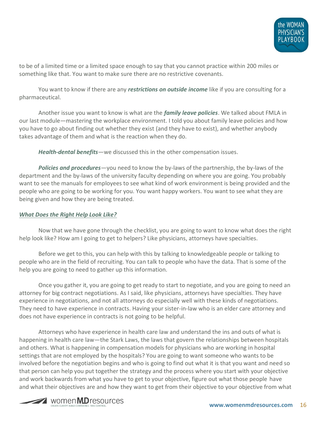

to be of a limited time or a limited space enough to say that you cannot practice within 200 miles or something like that. You want to make sure there are no restrictive covenants.

You want to know if there are any *restrictions on outside income* like if you are consulting for a pharmaceutical.

Another issue you want to know is what are the *family leave policies*. We talked about FMLA in our last module—mastering the workplace environment. I told you about family leave policies and how you have to go about finding out whether they exist (and they have to exist), and whether anybody takes advantage of them and what is the reaction when they do.

*Health-dental benefits*—we discussed this in the other compensation issues.

*Policies and procedures*—you need to know the by-laws of the partnership, the by-laws of the department and the by-laws of the university faculty depending on where you are going. You probably want to see the manuals for employees to see what kind of work environment is being provided and the people who are going to be working for you. You want happy workers. You want to see what they are being given and how they are being treated.

#### *What Does the Right Help Look Like?*

Now that we have gone through the checklist, you are going to want to know what does the right help look like? How am I going to get to helpers? Like physicians, attorneys have specialties.

Before we get to this, you can help with this by talking to knowledgeable people or talking to people who are in the field of recruiting. You can talk to people who have the data. That is some of the help you are going to need to gather up this information.

Once you gather it, you are going to get ready to start to negotiate, and you are going to need an attorney for big contract negotiations. As I said, like physicians, attorneys have specialties. They have experience in negotiations, and not all attorneys do especially well with these kinds of negotiations. They need to have experience in contracts. Having your sister-in-law who is an elder care attorney and does not have experience in contracts is not going to be helpful.

Attorneys who have experience in health care law and understand the ins and outs of what is happening in health care law—the Stark Laws, the laws that govern the relationships between hospitals and others. What is happening in compensation models for physicians who are working in hospital settings that are not employed by the hospitals? You are going to want someone who wants to be involved before the negotiation begins and who is going to find out what it is that you want and need so that person can help you put together the strategy and the process where you start with your objective and work backwards from what you have to get to your objective, figure out what those people have and what their objectives are and how they want to get from their objective to your objective from what